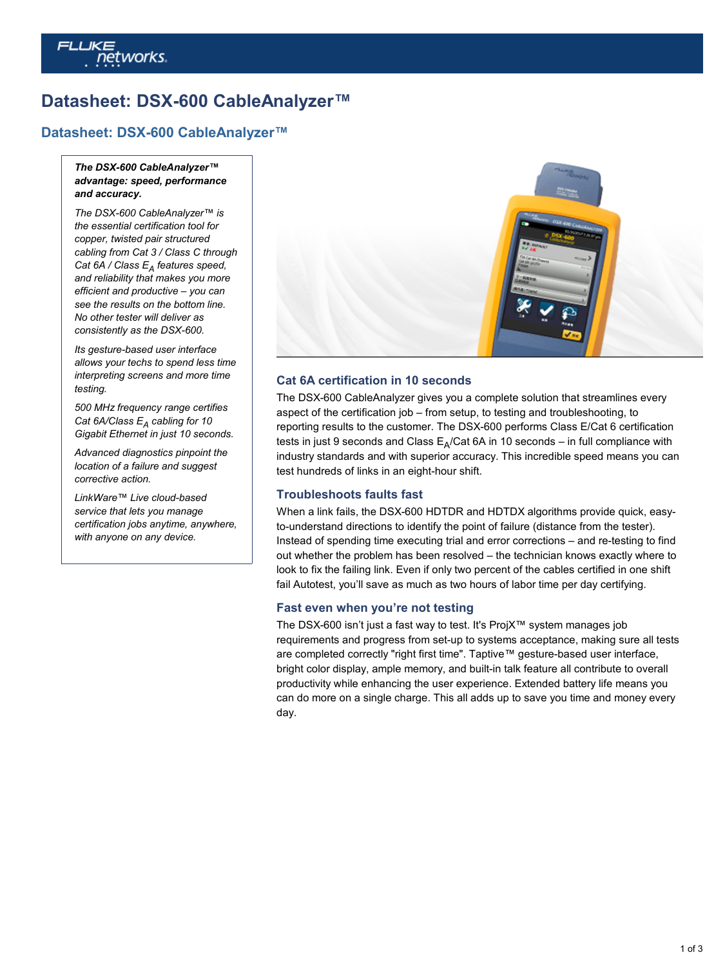# *ietworks*

# **Datasheet: DSX-600 CableAnalyzer™**

## **[Datasheet: DSX-600 CableAnalyzer™](http://www.flukenetworks.com/edocs/datasheet-dsx-600-cableanalyzer)**

#### *The DSX-600 CableAnalyzer™ advantage: speed, performance and accuracy.*

*The DSX-600 CableAnalyzer™ is the essential certification tool for copper, twisted pair structured cabling from Cat 3 / Class C through* Cat 6A / Class E<sub>A</sub> features speed, *and reliability that makes you more efficient and productive – you can see the results on the bottom line. No other tester will deliver as consistently as the DSX-600.*

*Its gesture-based user interface allows your techs to spend less time interpreting screens and more time testing.*

*500 MHz frequency range certifies* Cat 6A/Class  $E_A$  cabling for 10 *Gigabit Ethernet in just 10 seconds.*

*Advanced diagnostics pinpoint the location of a failure and suggest corrective action.*

*LinkWare™ Live cloud-based service that lets you manage certification jobs anytime, anywhere, with anyone on any device.*



#### **Cat 6A certification in 10 seconds**

The DSX-600 CableAnalyzer gives you a complete solution that streamlines every aspect of the certification job – from setup, to testing and troubleshooting, to reporting results to the customer. The DSX-600 performs Class E/Cat 6 certification tests in just 9 seconds and Class  $\mathsf{E}_\mathsf{A}/\mathsf{Cat}$  6A in 10 seconds – in full compliance with industry standards and with superior accuracy. This incredible speed means you can test hundreds of links in an eight-hour shift.

#### **Troubleshoots faults fast**

When a link fails, the DSX-600 HDTDR and HDTDX algorithms provide quick, easyto-understand directions to identify the point of failure (distance from the tester). Instead of spending time executing trial and error corrections – and re-testing to find out whether the problem has been resolved – the technician knows exactly where to look to fix the failing link. Even if only two percent of the cables certified in one shift fail Autotest, you'll save as much as two hours of labor time per day certifying.

#### **Fast even when you're not testing**

The DSX-600 isn't just a fast way to test. It's ProjX™ system manages job requirements and progress from set-up to systems acceptance, making sure all tests are completed correctly "right first time". Taptive™ gesture-based user interface, bright color display, ample memory, and built-in talk feature all contribute to overall productivity while enhancing the user experience. Extended battery life means you can do more on a single charge. This all adds up to save you time and money every day.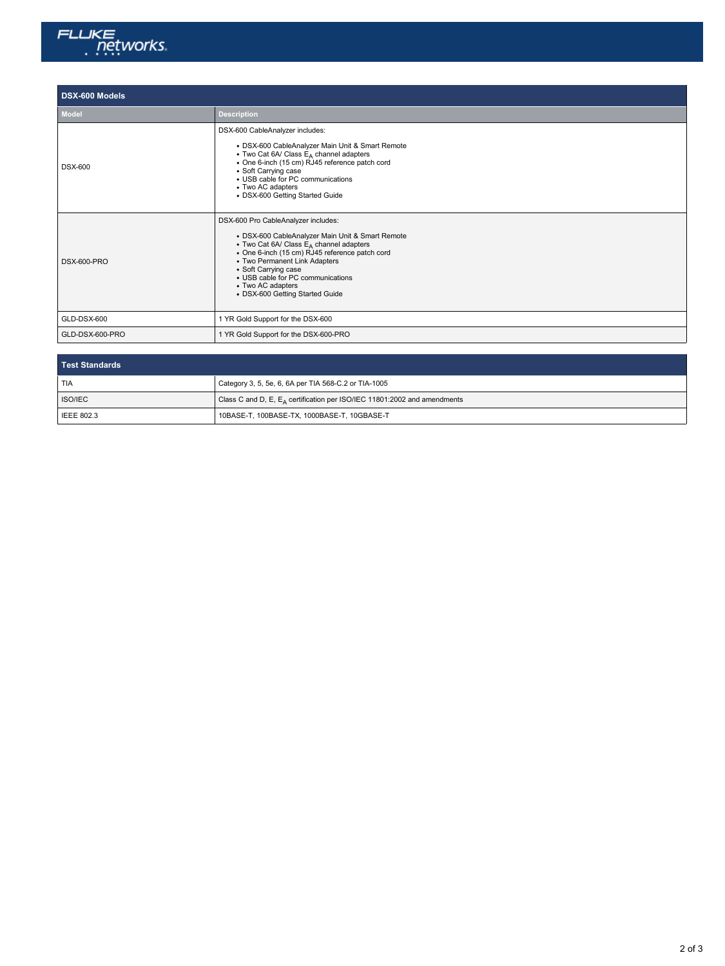

## **DSX-600 Models**

| <b>Model</b>       | <b>Description</b>                                                                                                                                                                                                                                                                                                                                     |
|--------------------|--------------------------------------------------------------------------------------------------------------------------------------------------------------------------------------------------------------------------------------------------------------------------------------------------------------------------------------------------------|
| <b>DSX-600</b>     | DSX-600 CableAnalyzer includes:<br>• DSX-600 CableAnalyzer Main Unit & Smart Remote<br>• Two Cat 6A/ Class $E_A$ channel adapters<br>· One 6-inch (15 cm) RJ45 reference patch cord<br>• Soft Carrying case<br>• USB cable for PC communications<br>• Two AC adapters<br>· DSX-600 Getting Started Guide                                               |
| <b>DSX-600-PRO</b> | DSX-600 Pro CableAnalyzer includes:<br>· DSX-600 CableAnalyzer Main Unit & Smart Remote<br>• Two Cat 6A/ Class E <sub>A</sub> channel adapters<br>• One 6-inch (15 cm) RJ45 reference patch cord<br>• Two Permanent Link Adapters<br>• Soft Carrying case<br>• USB cable for PC communications<br>• Two AC adapters<br>• DSX-600 Getting Started Guide |
| GLD-DSX-600        | 1 YR Gold Support for the DSX-600                                                                                                                                                                                                                                                                                                                      |
| GLD-DSX-600-PRO    | 1 YR Gold Support for the DSX-600-PRO                                                                                                                                                                                                                                                                                                                  |
|                    |                                                                                                                                                                                                                                                                                                                                                        |

| Test Standards    |                                                                                      |  |
|-------------------|--------------------------------------------------------------------------------------|--|
| <b>TIA</b>        | Category 3, 5, 5e, 6, 6A per TIA 568-C.2 or TIA-1005                                 |  |
| ISO/IEC           | Class C and D, E, E <sub>A</sub> certification per ISO/IEC 11801:2002 and amendments |  |
| <b>IEEE 802.3</b> | 10BASE-T, 100BASE-TX, 1000BASE-T, 10GBASE-T                                          |  |